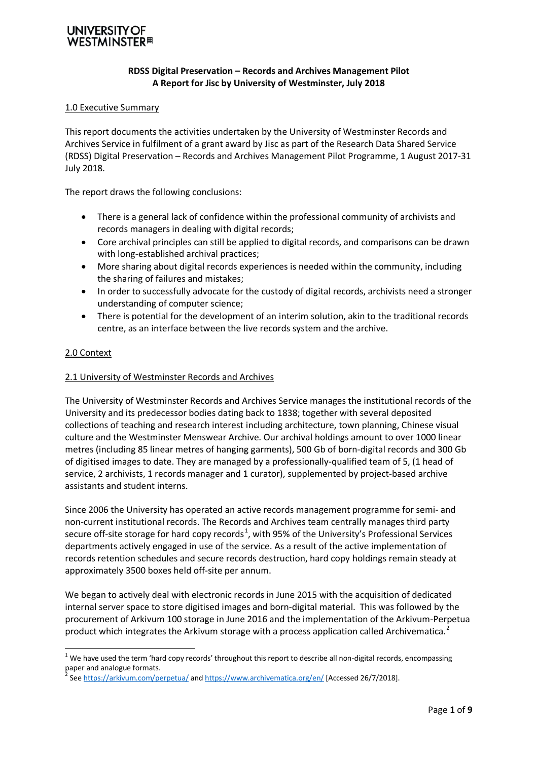## **VESTMINSTER**#

#### **RDSS Digital Preservation – Records and Archives Management Pilot A Report for Jisc by University of Westminster, July 2018**

#### 1.0 Executive Summary

This report documents the activities undertaken by the University of Westminster Records and Archives Service in fulfilment of a grant award by Jisc as part of the Research Data Shared Service (RDSS) Digital Preservation – Records and Archives Management Pilot Programme, 1 August 2017-31 July 2018.

The report draws the following conclusions:

- There is a general lack of confidence within the professional community of archivists and records managers in dealing with digital records;
- Core archival principles can still be applied to digital records, and comparisons can be drawn with long-established archival practices;
- More sharing about digital records experiences is needed within the community, including the sharing of failures and mistakes;
- In order to successfully advocate for the custody of digital records, archivists need a stronger understanding of computer science;
- There is potential for the development of an interim solution, akin to the traditional records centre, as an interface between the live records system and the archive.

#### 2.0 Context

#### 2.1 University of Westminster Records and Archives

The University of Westminster Records and Archives Service manages the institutional records of the University and its predecessor bodies dating back to 1838; together with several deposited collections of teaching and research interest including architecture, town planning, Chinese visual culture and the Westminster Menswear Archive. Our archival holdings amount to over 1000 linear metres (including 85 linear metres of hanging garments), 500 Gb of born-digital records and 300 Gb of digitised images to date. They are managed by a professionally-qualified team of 5, (1 head of service, 2 archivists, 1 records manager and 1 curator), supplemented by project-based archive assistants and student interns.

Since 2006 the University has operated an active records management programme for semi- and non-current institutional records. The Records and Archives team centrally manages third party secure off-site storage for hard copy records<sup>[1](#page-0-0)</sup>, with 95% of the University's Professional Services departments actively engaged in use of the service. As a result of the active implementation of records retention schedules and secure records destruction, hard copy holdings remain steady at approximately 3500 boxes held off-site per annum.

We began to actively deal with electronic records in June 2015 with the acquisition of dedicated internal server space to store digitised images and born-digital material. This was followed by the procurement of Arkivum 100 storage in June 2016 and the implementation of the Arkivum-Perpetua product which integrates the Arkivum storage with a process application called Archivematica.<sup>[2](#page-0-1)</sup>

<span id="page-0-0"></span> $1$  We have used the term 'hard copy records' throughout this report to describe all non-digital records, encompassing paper and analogue formats.

<span id="page-0-1"></span>Se[e https://arkivum.com/perpetua/](https://arkivum.com/perpetua/) an[d https://www.archivematica.org/en/](https://www.archivematica.org/en/) [Accessed 26/7/2018].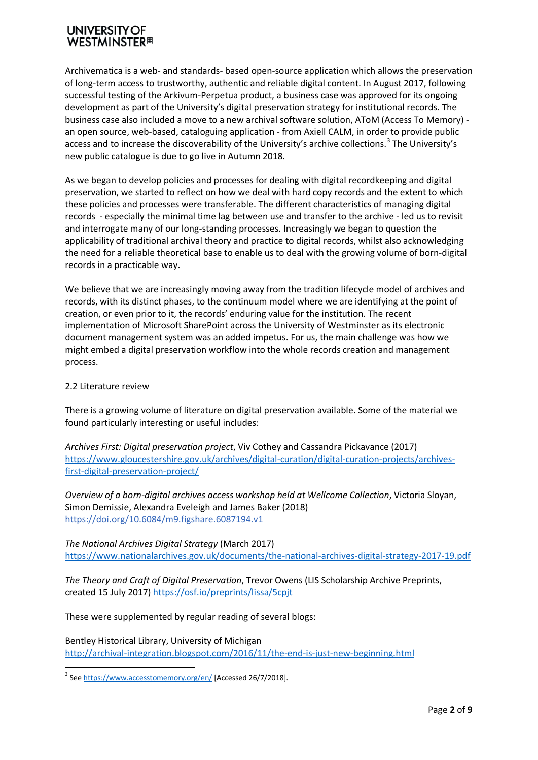### **UNIVERSITY WESTMINSTER**<sup>#</sup>

Archivematica is a web- and standards- based open-source application which allows the preservation of long-term access to trustworthy, authentic and reliable digital content. In August 2017, following successful testing of the Arkivum-Perpetua product, a business case was approved for its ongoing development as part of the University's digital preservation strategy for institutional records. The business case also included a move to a new archival software solution, AToM (Access To Memory) an open source, web-based, cataloguing application - from Axiell CALM, in order to provide public access and to increase the discoverability of the University's archive collections.<sup>[3](#page-1-0)</sup> The University's new public catalogue is due to go live in Autumn 2018.

As we began to develop policies and processes for dealing with digital recordkeeping and digital preservation, we started to reflect on how we deal with hard copy records and the extent to which these policies and processes were transferable. The different characteristics of managing digital records - especially the minimal time lag between use and transfer to the archive - led us to revisit and interrogate many of our long-standing processes. Increasingly we began to question the applicability of traditional archival theory and practice to digital records, whilst also acknowledging the need for a reliable theoretical base to enable us to deal with the growing volume of born-digital records in a practicable way.

We believe that we are increasingly moving away from the tradition lifecycle model of archives and records, with its distinct phases, to the continuum model where we are identifying at the point of creation, or even prior to it, the records' enduring value for the institution. The recent implementation of Microsoft SharePoint across the University of Westminster as its electronic document management system was an added impetus. For us, the main challenge was how we might embed a digital preservation workflow into the whole records creation and management process.

#### 2.2 Literature review

There is a growing volume of literature on digital preservation available. Some of the material we found particularly interesting or useful includes:

*Archives First: Digital preservation project*, Viv Cothey and Cassandra Pickavance (2017) [https://www.gloucestershire.gov.uk/archives/digital-curation/digital-curation-projects/archives](https://www.gloucestershire.gov.uk/archives/digital-curation/digital-curation-projects/archives-first-digital-preservation-project/)[first-digital-preservation-project/](https://www.gloucestershire.gov.uk/archives/digital-curation/digital-curation-projects/archives-first-digital-preservation-project/)

*Overview of a born-digital archives access workshop held at Wellcome Collection*, Victoria Sloyan, Simon Demissie, Alexandra Eveleigh and James Baker (2018) <https://doi.org/10.6084/m9.figshare.6087194.v1>

*The National Archives Digital Strategy* (March 2017) <https://www.nationalarchives.gov.uk/documents/the-national-archives-digital-strategy-2017-19.pdf>

*The Theory and Craft of Digital Preservation*, Trevor Owens (LIS Scholarship Archive Preprints, created 15 July 2017[\) https://osf.io/preprints/lissa/5cpjt](https://osf.io/preprints/lissa/5cpjt)

These were supplemented by regular reading of several blogs:

Bentley Historical Library, University of Michigan <http://archival-integration.blogspot.com/2016/11/the-end-is-just-new-beginning.html>

<span id="page-1-0"></span><sup>&</sup>lt;sup>3</sup> Se[e https://www.accesstomemory.org/en/](https://www.accesstomemory.org/en/) [Accessed 26/7/2018].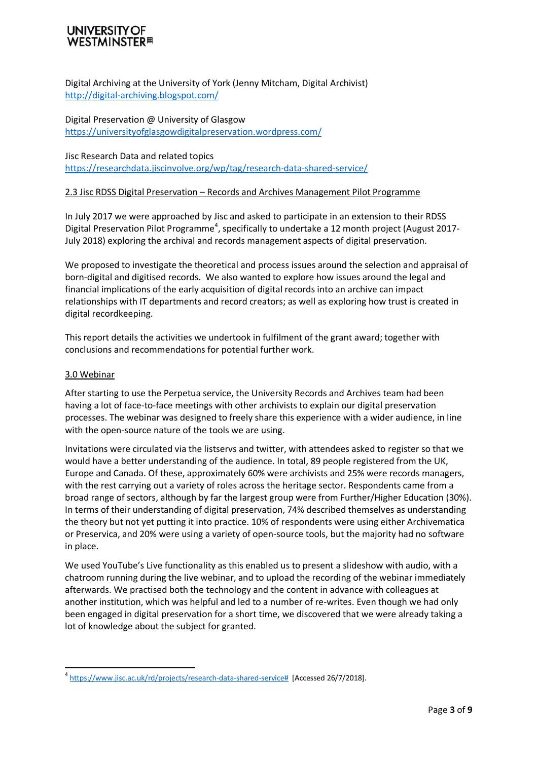### UNIVERSITY **WESTMINSTER**<sup>#</sup>

Digital Archiving at the University of York (Jenny Mitcham, Digital Archivist) <http://digital-archiving.blogspot.com/>

Digital Preservation @ University of Glasgow <https://universityofglasgowdigitalpreservation.wordpress.com/>

Jisc Research Data and related topics <https://researchdata.jiscinvolve.org/wp/tag/research-data-shared-service/>

#### 2.3 Jisc RDSS Digital Preservation – Records and Archives Management Pilot Programme

In July 2017 we were approached by Jisc and asked to participate in an extension to their RDSS Digital Preservation Pilot Programme<sup>[4](#page-2-0)</sup>, specifically to undertake a 12 month project (August 2017-July 2018) exploring the archival and records management aspects of digital preservation.

We proposed to investigate the theoretical and process issues around the selection and appraisal of born-digital and digitised records. We also wanted to explore how issues around the legal and financial implications of the early acquisition of digital records into an archive can impact relationships with IT departments and record creators; as well as exploring how trust is created in digital recordkeeping.

This report details the activities we undertook in fulfilment of the grant award; together with conclusions and recommendations for potential further work.

#### 3.0 Webinar

After starting to use the Perpetua service, the University Records and Archives team had been having a lot of face-to-face meetings with other archivists to explain our digital preservation processes. The webinar was designed to freely share this experience with a wider audience, in line with the open-source nature of the tools we are using.

Invitations were circulated via the listservs and twitter, with attendees asked to register so that we would have a better understanding of the audience. In total, 89 people registered from the UK, Europe and Canada. Of these, approximately 60% were archivists and 25% were records managers, with the rest carrying out a variety of roles across the heritage sector. Respondents came from a broad range of sectors, although by far the largest group were from Further/Higher Education (30%). In terms of their understanding of digital preservation, 74% described themselves as understanding the theory but not yet putting it into practice. 10% of respondents were using either Archivematica or Preservica, and 20% were using a variety of open-source tools, but the majority had no software in place.

We used YouTube's Live functionality as this enabled us to present a slideshow with audio, with a chatroom running during the live webinar, and to upload the recording of the webinar immediately afterwards. We practised both the technology and the content in advance with colleagues at another institution, which was helpful and led to a number of re-writes. Even though we had only been engaged in digital preservation for a short time, we discovered that we were already taking a lot of knowledge about the subject for granted.

<span id="page-2-0"></span><sup>&</sup>lt;sup>4</sup> [https://www.jisc.ac.uk/rd/projects/research-data-shared-service#](https://www.jisc.ac.uk/rd/projects/research-data-shared-service) [Accessed 26/7/2018].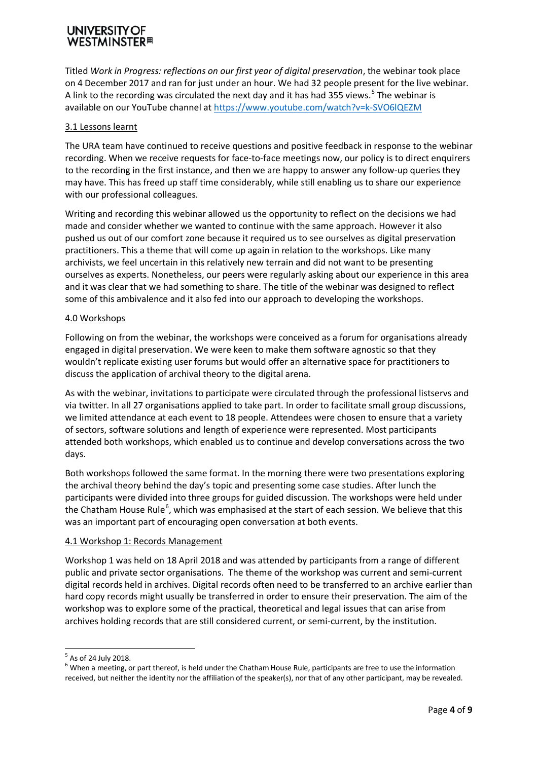## **WESTMINSTER**<sup>#</sup>

Titled *Work in Progress: reflections on our first year of digital preservation*, the webinar took place on 4 December 2017 and ran for just under an hour. We had 32 people present for the live webinar. A link to the recording was circulated the next day and it has had 3[5](#page-3-0)5 views.<sup>5</sup> The webinar is available on our YouTube channel at<https://www.youtube.com/watch?v=k-SVO6lQEZM>

#### 3.1 Lessons learnt

The URA team have continued to receive questions and positive feedback in response to the webinar recording. When we receive requests for face-to-face meetings now, our policy is to direct enquirers to the recording in the first instance, and then we are happy to answer any follow-up queries they may have. This has freed up staff time considerably, while still enabling us to share our experience with our professional colleagues.

Writing and recording this webinar allowed us the opportunity to reflect on the decisions we had made and consider whether we wanted to continue with the same approach. However it also pushed us out of our comfort zone because it required us to see ourselves as digital preservation practitioners. This a theme that will come up again in relation to the workshops. Like many archivists, we feel uncertain in this relatively new terrain and did not want to be presenting ourselves as experts. Nonetheless, our peers were regularly asking about our experience in this area and it was clear that we had something to share. The title of the webinar was designed to reflect some of this ambivalence and it also fed into our approach to developing the workshops.

#### 4.0 Workshops

Following on from the webinar, the workshops were conceived as a forum for organisations already engaged in digital preservation. We were keen to make them software agnostic so that they wouldn't replicate existing user forums but would offer an alternative space for practitioners to discuss the application of archival theory to the digital arena.

As with the webinar, invitations to participate were circulated through the professional listservs and via twitter. In all 27 organisations applied to take part. In order to facilitate small group discussions, we limited attendance at each event to 18 people. Attendees were chosen to ensure that a variety of sectors, software solutions and length of experience were represented. Most participants attended both workshops, which enabled us to continue and develop conversations across the two days.

Both workshops followed the same format. In the morning there were two presentations exploring the archival theory behind the day's topic and presenting some case studies. After lunch the participants were divided into three groups for guided discussion. The workshops were held under the Chatham House Rule<sup>[6](#page-3-1)</sup>, which was emphasised at the start of each session. We believe that this was an important part of encouraging open conversation at both events.

#### 4.1 Workshop 1: Records Management

Workshop 1 was held on 18 April 2018 and was attended by participants from a range of different public and private sector organisations. The theme of the workshop was current and semi-current digital records held in archives. Digital records often need to be transferred to an archive earlier than hard copy records might usually be transferred in order to ensure their preservation. The aim of the workshop was to explore some of the practical, theoretical and legal issues that can arise from archives holding records that are still considered current, or semi-current, by the institution.

<span id="page-3-1"></span><span id="page-3-0"></span> $5$  As of 24 July 2018.<br> $6$  When a meeting, or part thereof, is held under the Chatham House Rule, participants are free to use the information received, but neither the identity nor the affiliation of the speaker(s), nor that of any other participant, may be revealed.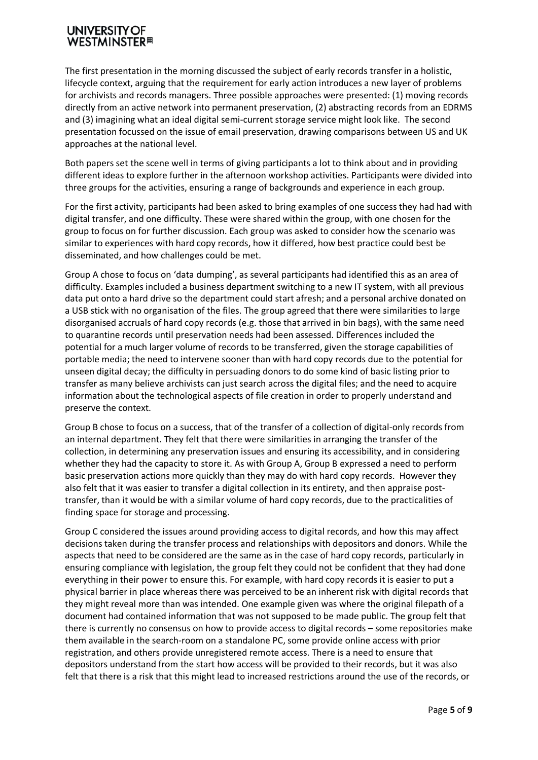### **UNIVERSITY OF WESTMINSTER**<sup>#</sup>

The first presentation in the morning discussed the subject of early records transfer in a holistic, lifecycle context, arguing that the requirement for early action introduces a new layer of problems for archivists and records managers. Three possible approaches were presented: (1) moving records directly from an active network into permanent preservation, (2) abstracting records from an EDRMS and (3) imagining what an ideal digital semi-current storage service might look like. The second presentation focussed on the issue of email preservation, drawing comparisons between US and UK approaches at the national level.

Both papers set the scene well in terms of giving participants a lot to think about and in providing different ideas to explore further in the afternoon workshop activities. Participants were divided into three groups for the activities, ensuring a range of backgrounds and experience in each group.

For the first activity, participants had been asked to bring examples of one success they had had with digital transfer, and one difficulty. These were shared within the group, with one chosen for the group to focus on for further discussion. Each group was asked to consider how the scenario was similar to experiences with hard copy records, how it differed, how best practice could best be disseminated, and how challenges could be met.

Group A chose to focus on 'data dumping', as several participants had identified this as an area of difficulty. Examples included a business department switching to a new IT system, with all previous data put onto a hard drive so the department could start afresh; and a personal archive donated on a USB stick with no organisation of the files. The group agreed that there were similarities to large disorganised accruals of hard copy records (e.g. those that arrived in bin bags), with the same need to quarantine records until preservation needs had been assessed. Differences included the potential for a much larger volume of records to be transferred, given the storage capabilities of portable media; the need to intervene sooner than with hard copy records due to the potential for unseen digital decay; the difficulty in persuading donors to do some kind of basic listing prior to transfer as many believe archivists can just search across the digital files; and the need to acquire information about the technological aspects of file creation in order to properly understand and preserve the context.

Group B chose to focus on a success, that of the transfer of a collection of digital-only records from an internal department. They felt that there were similarities in arranging the transfer of the collection, in determining any preservation issues and ensuring its accessibility, and in considering whether they had the capacity to store it. As with Group A, Group B expressed a need to perform basic preservation actions more quickly than they may do with hard copy records. However they also felt that it was easier to transfer a digital collection in its entirety, and then appraise posttransfer, than it would be with a similar volume of hard copy records, due to the practicalities of finding space for storage and processing.

Group C considered the issues around providing access to digital records, and how this may affect decisions taken during the transfer process and relationships with depositors and donors. While the aspects that need to be considered are the same as in the case of hard copy records, particularly in ensuring compliance with legislation, the group felt they could not be confident that they had done everything in their power to ensure this. For example, with hard copy records it is easier to put a physical barrier in place whereas there was perceived to be an inherent risk with digital records that they might reveal more than was intended. One example given was where the original filepath of a document had contained information that was not supposed to be made public. The group felt that there is currently no consensus on how to provide access to digital records – some repositories make them available in the search-room on a standalone PC, some provide online access with prior registration, and others provide unregistered remote access. There is a need to ensure that depositors understand from the start how access will be provided to their records, but it was also felt that there is a risk that this might lead to increased restrictions around the use of the records, or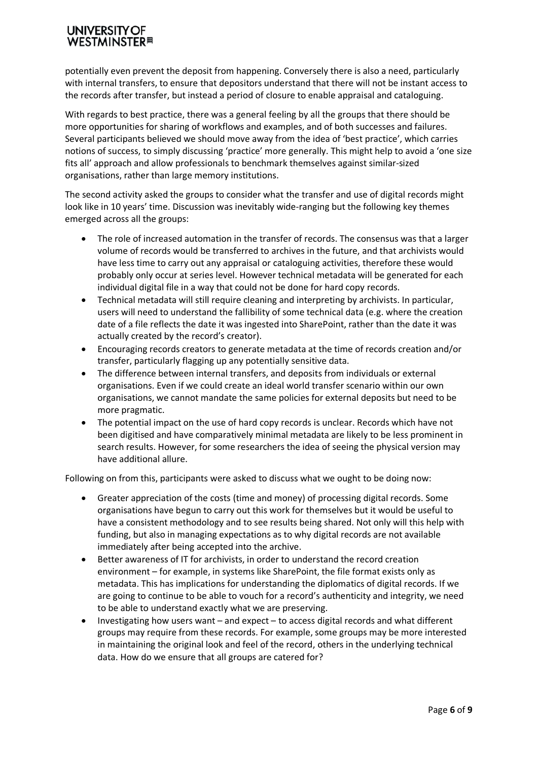# **WESTMINSTER**<sup>#</sup>

potentially even prevent the deposit from happening. Conversely there is also a need, particularly with internal transfers, to ensure that depositors understand that there will not be instant access to the records after transfer, but instead a period of closure to enable appraisal and cataloguing.

With regards to best practice, there was a general feeling by all the groups that there should be more opportunities for sharing of workflows and examples, and of both successes and failures. Several participants believed we should move away from the idea of 'best practice', which carries notions of success, to simply discussing 'practice' more generally. This might help to avoid a 'one size fits all' approach and allow professionals to benchmark themselves against similar-sized organisations, rather than large memory institutions.

The second activity asked the groups to consider what the transfer and use of digital records might look like in 10 years' time. Discussion was inevitably wide-ranging but the following key themes emerged across all the groups:

- The role of increased automation in the transfer of records. The consensus was that a larger volume of records would be transferred to archives in the future, and that archivists would have less time to carry out any appraisal or cataloguing activities, therefore these would probably only occur at series level. However technical metadata will be generated for each individual digital file in a way that could not be done for hard copy records.
- Technical metadata will still require cleaning and interpreting by archivists. In particular, users will need to understand the fallibility of some technical data (e.g. where the creation date of a file reflects the date it was ingested into SharePoint, rather than the date it was actually created by the record's creator).
- Encouraging records creators to generate metadata at the time of records creation and/or transfer, particularly flagging up any potentially sensitive data.
- The difference between internal transfers, and deposits from individuals or external organisations. Even if we could create an ideal world transfer scenario within our own organisations, we cannot mandate the same policies for external deposits but need to be more pragmatic.
- The potential impact on the use of hard copy records is unclear. Records which have not been digitised and have comparatively minimal metadata are likely to be less prominent in search results. However, for some researchers the idea of seeing the physical version may have additional allure.

Following on from this, participants were asked to discuss what we ought to be doing now:

- Greater appreciation of the costs (time and money) of processing digital records. Some organisations have begun to carry out this work for themselves but it would be useful to have a consistent methodology and to see results being shared. Not only will this help with funding, but also in managing expectations as to why digital records are not available immediately after being accepted into the archive.
- Better awareness of IT for archivists, in order to understand the record creation environment – for example, in systems like SharePoint, the file format exists only as metadata. This has implications for understanding the diplomatics of digital records. If we are going to continue to be able to vouch for a record's authenticity and integrity, we need to be able to understand exactly what we are preserving.
- Investigating how users want and expect to access digital records and what different groups may require from these records. For example, some groups may be more interested in maintaining the original look and feel of the record, others in the underlying technical data. How do we ensure that all groups are catered for?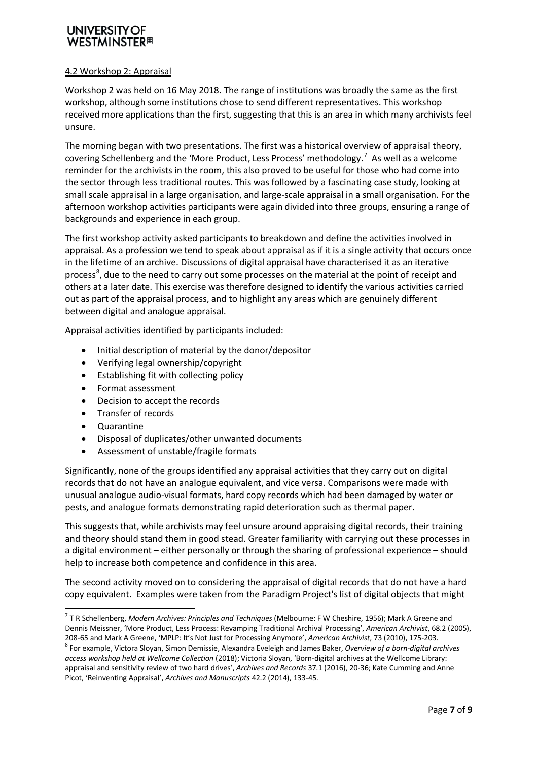## **VESTMINSTER**⊞

#### 4.2 Workshop 2: Appraisal

Workshop 2 was held on 16 May 2018. The range of institutions was broadly the same as the first workshop, although some institutions chose to send different representatives. This workshop received more applications than the first, suggesting that this is an area in which many archivists feel unsure.

The morning began with two presentations. The first was a historical overview of appraisal theory, covering Schellenberg and the 'More Product, Less Process' methodology.<sup>[7](#page-6-0)</sup> As well as a welcome reminder for the archivists in the room, this also proved to be useful for those who had come into the sector through less traditional routes. This was followed by a fascinating case study, looking at small scale appraisal in a large organisation, and large-scale appraisal in a small organisation. For the afternoon workshop activities participants were again divided into three groups, ensuring a range of backgrounds and experience in each group.

The first workshop activity asked participants to breakdown and define the activities involved in appraisal. As a profession we tend to speak about appraisal as if it is a single activity that occurs once in the lifetime of an archive. Discussions of digital appraisal have characterised it as an iterative process<sup>[8](#page-6-1)</sup>, due to the need to carry out some processes on the material at the point of receipt and others at a later date. This exercise was therefore designed to identify the various activities carried out as part of the appraisal process, and to highlight any areas which are genuinely different between digital and analogue appraisal.

Appraisal activities identified by participants included:

- Initial description of material by the donor/depositor
- Verifying legal ownership/copyright
- Establishing fit with collecting policy
- Format assessment
- Decision to accept the records
- Transfer of records
- Quarantine
- Disposal of duplicates/other unwanted documents
- Assessment of unstable/fragile formats

Significantly, none of the groups identified any appraisal activities that they carry out on digital records that do not have an analogue equivalent, and vice versa. Comparisons were made with unusual analogue audio-visual formats, hard copy records which had been damaged by water or pests, and analogue formats demonstrating rapid deterioration such as thermal paper.

This suggests that, while archivists may feel unsure around appraising digital records, their training and theory should stand them in good stead. Greater familiarity with carrying out these processes in a digital environment – either personally or through the sharing of professional experience – should help to increase both competence and confidence in this area.

The second activity moved on to considering the appraisal of digital records that do not have a hard copy equivalent. Examples were taken from the Paradigm Project's list of digital objects that might

<span id="page-6-0"></span> <sup>7</sup> T R Schellenberg, *Modern Archives: Principles and Techniques* (Melbourne: F W Cheshire, 1956); Mark A Greene and Dennis Meissner, 'More Product, Less Process: Revamping Traditional Archival Processing', *American Archivist*, 68.2 (2005), 208-65 and Mark A Greene, 'MPLP: It's Not Just for Processing Anymore', American Archivist, 73 (2010), 175-203.<br><sup>8</sup> For example, Victora Sloyan, Simon Demissie, Alexandra Eveleigh and James Baker, Overview of a born-digita

<span id="page-6-1"></span>*access workshop held at Wellcome Collection* (2018); Victoria Sloyan, 'Born-digital archives at the Wellcome Library: appraisal and sensitivity review of two hard drives', *Archives and Records* 37.1 (2016), 20-36; Kate Cumming and Anne Picot, 'Reinventing Appraisal', *Archives and Manuscripts* 42.2 (2014), 133-45.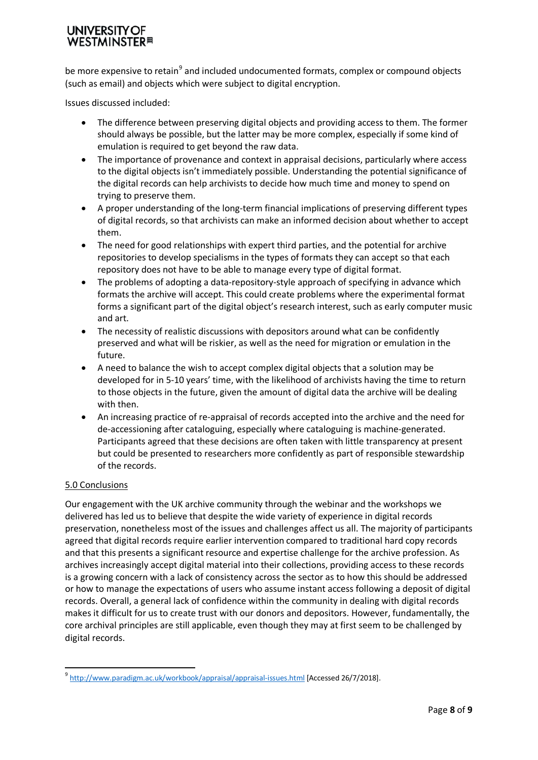### **UNIVERSITY WESTMINSTER**<sup>#</sup>

be more expensive to retain<sup>[9](#page-7-0)</sup> and included undocumented formats, complex or compound objects (such as email) and objects which were subject to digital encryption.

Issues discussed included:

- The difference between preserving digital objects and providing access to them. The former should always be possible, but the latter may be more complex, especially if some kind of emulation is required to get beyond the raw data.
- The importance of provenance and context in appraisal decisions, particularly where access to the digital objects isn't immediately possible. Understanding the potential significance of the digital records can help archivists to decide how much time and money to spend on trying to preserve them.
- A proper understanding of the long-term financial implications of preserving different types of digital records, so that archivists can make an informed decision about whether to accept them.
- The need for good relationships with expert third parties, and the potential for archive repositories to develop specialisms in the types of formats they can accept so that each repository does not have to be able to manage every type of digital format.
- The problems of adopting a data-repository-style approach of specifying in advance which formats the archive will accept. This could create problems where the experimental format forms a significant part of the digital object's research interest, such as early computer music and art.
- The necessity of realistic discussions with depositors around what can be confidently preserved and what will be riskier, as well as the need for migration or emulation in the future.
- A need to balance the wish to accept complex digital objects that a solution may be developed for in 5-10 years' time, with the likelihood of archivists having the time to return to those objects in the future, given the amount of digital data the archive will be dealing with then.
- An increasing practice of re-appraisal of records accepted into the archive and the need for de-accessioning after cataloguing, especially where cataloguing is machine-generated. Participants agreed that these decisions are often taken with little transparency at present but could be presented to researchers more confidently as part of responsible stewardship of the records.

#### 5.0 Conclusions

Our engagement with the UK archive community through the webinar and the workshops we delivered has led us to believe that despite the wide variety of experience in digital records preservation, nonetheless most of the issues and challenges affect us all. The majority of participants agreed that digital records require earlier intervention compared to traditional hard copy records and that this presents a significant resource and expertise challenge for the archive profession. As archives increasingly accept digital material into their collections, providing access to these records is a growing concern with a lack of consistency across the sector as to how this should be addressed or how to manage the expectations of users who assume instant access following a deposit of digital records. Overall, a general lack of confidence within the community in dealing with digital records makes it difficult for us to create trust with our donors and depositors. However, fundamentally, the core archival principles are still applicable, even though they may at first seem to be challenged by digital records.

<span id="page-7-0"></span><sup>&</sup>lt;sup>9</sup> <http://www.paradigm.ac.uk/workbook/appraisal/appraisal-issues.html> [Accessed 26/7/2018].